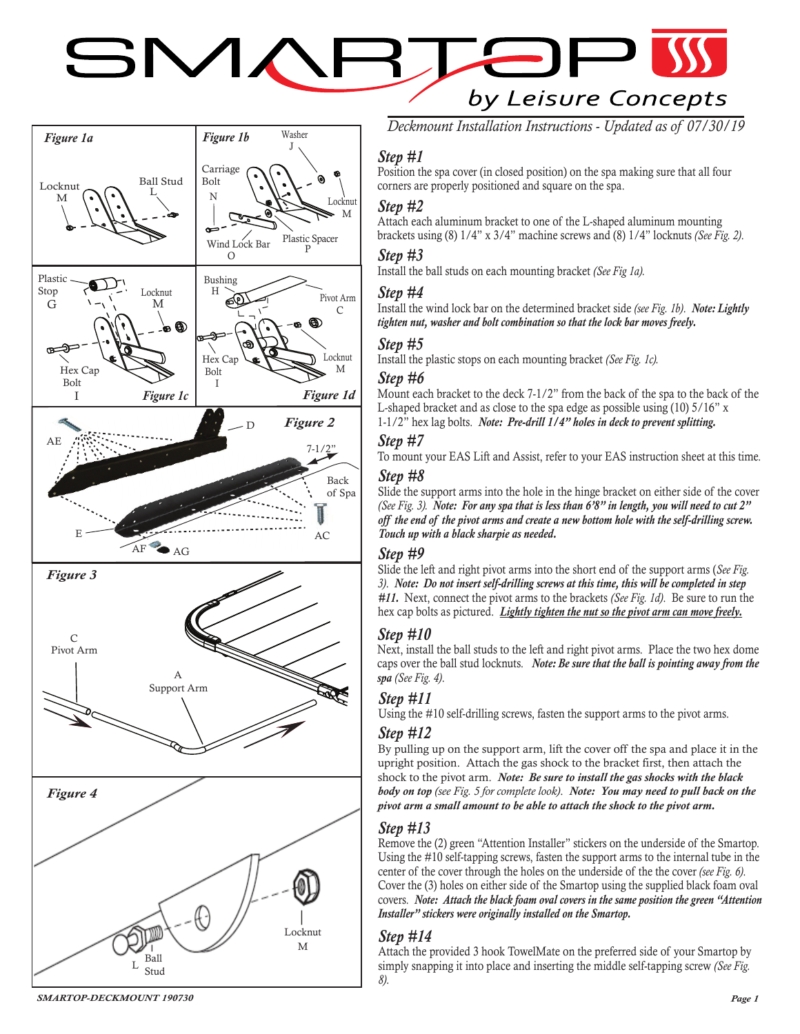# SMAI  $\leftarrow$ by Leisure Concepts



*Deckmount Installation Instructions - Updated as of 07/30/19*

# *Step #1*

Position the spa cover (in closed position) on the spa making sure that all four corners are properly positioned and square on the spa.

# *Step #2*

Attach each aluminum bracket to one of the L-shaped aluminum mounting brackets using (8) 1/4" x 3/4" machine screws and (8) 1/4" locknuts *(See Fig. 2)*.

## *Step #3*

Install the ball studs on each mounting bracket *(See Fig 1a).*

#### *Step #4*

Install the wind lock bar on the determined bracket side *(see Fig. 1b)*. *Note: Lightly tighten nut, washer and bolt combination so that the lock bar moves freely.*

## *Step #5*

Install the plastic stops on each mounting bracket *(See Fig. 1c).*

## *Step #6*

Mount each bracket to the deck 7-1/2" from the back of the spa to the back of the L-shaped bracket and as close to the spa edge as possible using (10) 5/16" x 1-1/2" hex lag bolts. *Note: Pre-drill 1/4" holes in deck to prevent splitting.*

# *Step #7*

To mount your EAS Lift and Assist, refer to your EAS instruction sheet at this time.

#### *Step #8*

Slide the support arms into the hole in the hinge bracket on either side of the cover *(See Fig. 3). Note: For any spa that is less than 6'8" in length, you will need to cut 2" off the end of the pivot arms and create a new bottom hole with the self-drilling screw. Touch up with a black sharpie as needed.*

#### *Step #9*

Slide the left and right pivot arms into the short end of the support arms (*See Fig. 3)*. *Note: Do not insert self-drilling screws at this time, this will be completed in step #11.* Next, connect the pivot arms to the brackets *(See Fig. 1d)*. Be sure to run the hex cap bolts as pictured. *Lightly tighten the nut so the pivot arm can move freely.*

# *Step #10*

Next, install the ball studs to the left and right pivot arms. Place the two hex dome caps over the ball stud locknuts. *Note: Be sure that the ball is pointing away from the spa (See Fig. 4)*.

# *Step #11*

Using the #10 self-drilling screws, fasten the support arms to the pivot arms.

#### *Step #12*

By pulling up on the support arm, lift the cover off the spa and place it in the upright position. Attach the gas shock to the bracket first, then attach the shock to the pivot arm. *Note: Be sure to install the gas shocks with the black body on top (see Fig. 5 for complete look)*. *Note: You may need to pull back on the pivot arm a small amount to be able to attach the shock to the pivot arm.*

# *Step #13*

Remove the (2) green "Attention Installer" stickers on the underside of the Smartop. Using the #10 self-tapping screws, fasten the support arms to the internal tube in the center of the cover through the holes on the underside of the the cover *(see Fig. 6)*. Cover the (3) holes on either side of the Smartop using the supplied black foam oval covers. *Note: Attach the black foam oval covers in the same position the green "Attention Installer" stickers were originally installed on the Smartop.*

# *Step #14*

Attach the provided 3 hook TowelMate on the preferred side of your Smartop by simply snapping it into place and inserting the middle self-tapping screw *(See Fig. 8)*.

*SMARTOP-DECKMOUNT 190730*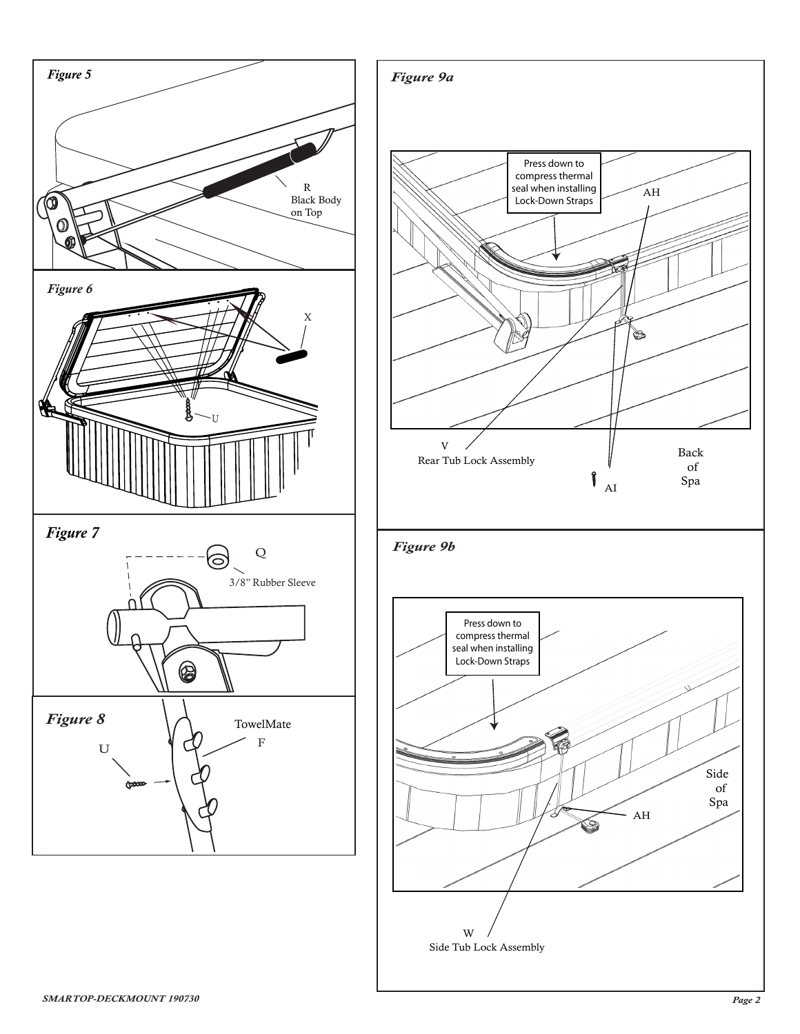

Side Tub Lock Assembly W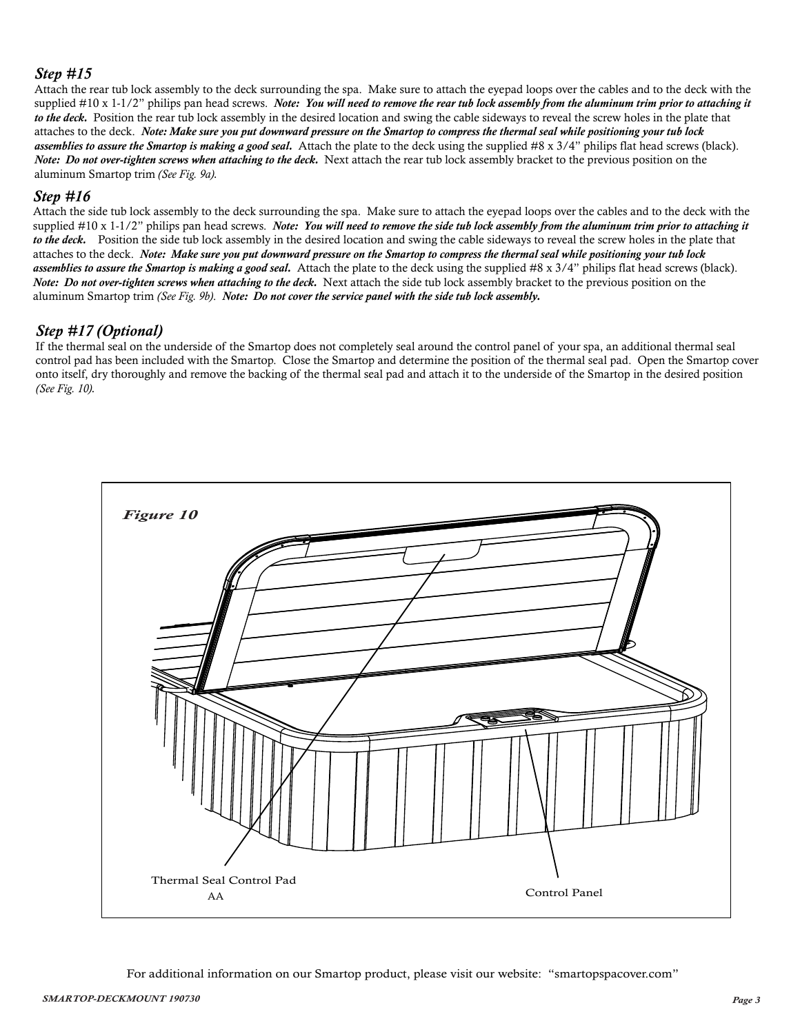#### *Step #15*

Attach the rear tub lock assembly to the deck surrounding the spa. Make sure to attach the eyepad loops over the cables and to the deck with the supplied #10 x 1-1/2" philips pan head screws. *Note: You will need to remove the rear tub lock assembly from the aluminum trim prior to attaching it to the deck.* Position the rear tub lock assembly in the desired location and swing the cable sideways to reveal the screw holes in the plate that attaches to the deck. *Note: Make sure you put downward pressure on the Smartop to compress the thermal seal while positioning your tub lock assemblies to assure the Smartop is making a good seal.* Attach the plate to the deck using the supplied #8 x 3/4" philips flat head screws (black). *Note: Do not over-tighten screws when attaching to the deck.* Next attach the rear tub lock assembly bracket to the previous position on the aluminum Smartop trim *(See Fig. 9a)*.

#### *Step #16*

Attach the side tub lock assembly to the deck surrounding the spa. Make sure to attach the eyepad loops over the cables and to the deck with the supplied #10 x 1-1/2" philips pan head screws. *Note: You will need to remove the side tub lock assembly from the aluminum trim prior to attaching it to the deck.* Position the side tub lock assembly in the desired location and swing the cable sideways to reveal the screw holes in the plate that attaches to the deck. *Note: Make sure you put downward pressure on the Smartop to compress the thermal seal while positioning your tub lock assemblies to assure the Smartop is making a good seal.* Attach the plate to the deck using the supplied #8 x 3/4" philips flat head screws (black). *Note: Do not over-tighten screws when attaching to the deck.* Next attach the side tub lock assembly bracket to the previous position on the aluminum Smartop trim *(See Fig. 9b)*. *Note: Do not cover the service panel with the side tub lock assembly.*

#### *Step #17 (Optional)*

If the thermal seal on the underside of the Smartop does not completely seal around the control panel of your spa, an additional thermal seal control pad has been included with the Smartop. Close the Smartop and determine the position of the thermal seal pad. Open the Smartop cover onto itself, dry thoroughly and remove the backing of the thermal seal pad and attach it to the underside of the Smartop in the desired position *(See Fig. 10)*.



For additional information on our Smartop product, please visit our website: "smartopspacover.com"